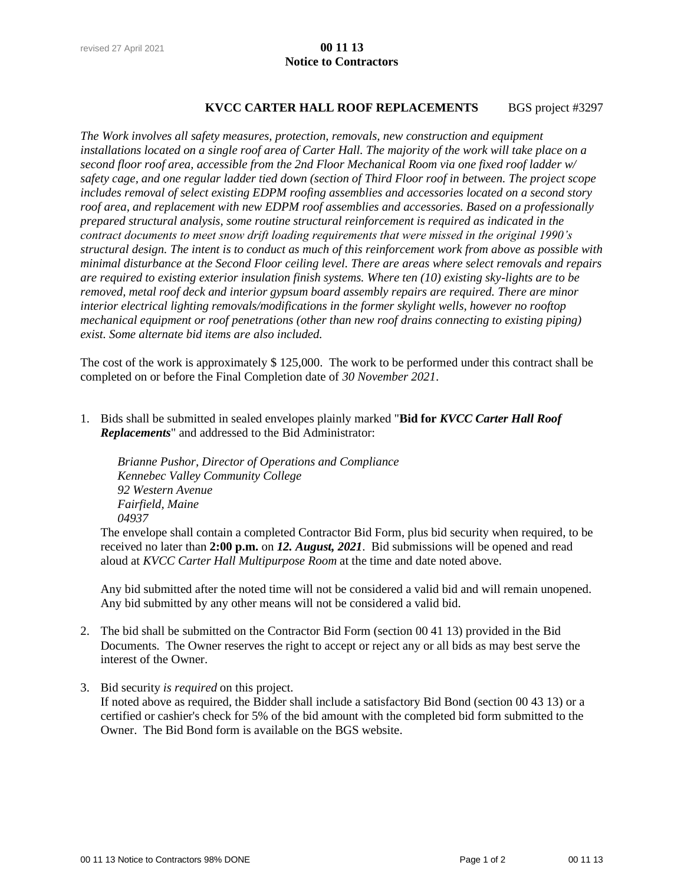### revised 27 April 2021 **00 11 13 Notice to Contractors**

#### **KVCC CARTER HALL ROOF REPLACEMENTS** BGS project #3297

*The Work involves all safety measures, protection, removals, new construction and equipment installations located on a single roof area of Carter Hall. The majority of the work will take place on a second floor roof area, accessible from the 2nd Floor Mechanical Room via one fixed roof ladder w/ safety cage, and one regular ladder tied down (section of Third Floor roof in between. The project scope includes removal of select existing EDPM roofing assemblies and accessories located on a second story roof area, and replacement with new EDPM roof assemblies and accessories. Based on a professionally prepared structural analysis, some routine structural reinforcement is required as indicated in the contract documents to meet snow drift loading requirements that were missed in the original 1990's structural design. The intent is to conduct as much of this reinforcement work from above as possible with minimal disturbance at the Second Floor ceiling level. There are areas where select removals and repairs are required to existing exterior insulation finish systems. Where ten (10) existing sky-lights are to be removed, metal roof deck and interior gypsum board assembly repairs are required. There are minor interior electrical lighting removals/modifications in the former skylight wells, however no rooftop mechanical equipment or roof penetrations (other than new roof drains connecting to existing piping) exist. Some alternate bid items are also included.*

The cost of the work is approximately \$ 125,000. The work to be performed under this contract shall be completed on or before the Final Completion date of *30 November 2021*.

1. Bids shall be submitted in sealed envelopes plainly marked "**Bid for** *KVCC Carter Hall Roof Replacements*" and addressed to the Bid Administrator:

*Brianne Pushor, Director of Operations and Compliance Kennebec Valley Community College 92 Western Avenue Fairfield, Maine 04937*

The envelope shall contain a completed Contractor Bid Form, plus bid security when required, to be received no later than **2:00 p.m.** on *12. August, 2021*. Bid submissions will be opened and read aloud at *KVCC Carter Hall Multipurpose Room* at the time and date noted above.

Any bid submitted after the noted time will not be considered a valid bid and will remain unopened. Any bid submitted by any other means will not be considered a valid bid.

- 2. The bid shall be submitted on the Contractor Bid Form (section 00 41 13) provided in the Bid Documents. The Owner reserves the right to accept or reject any or all bids as may best serve the interest of the Owner.
- 3. Bid security *is required* on this project. If noted above as required, the Bidder shall include a satisfactory Bid Bond (section 00 43 13) or a certified or cashier's check for 5% of the bid amount with the completed bid form submitted to the Owner. The Bid Bond form is available on the BGS website.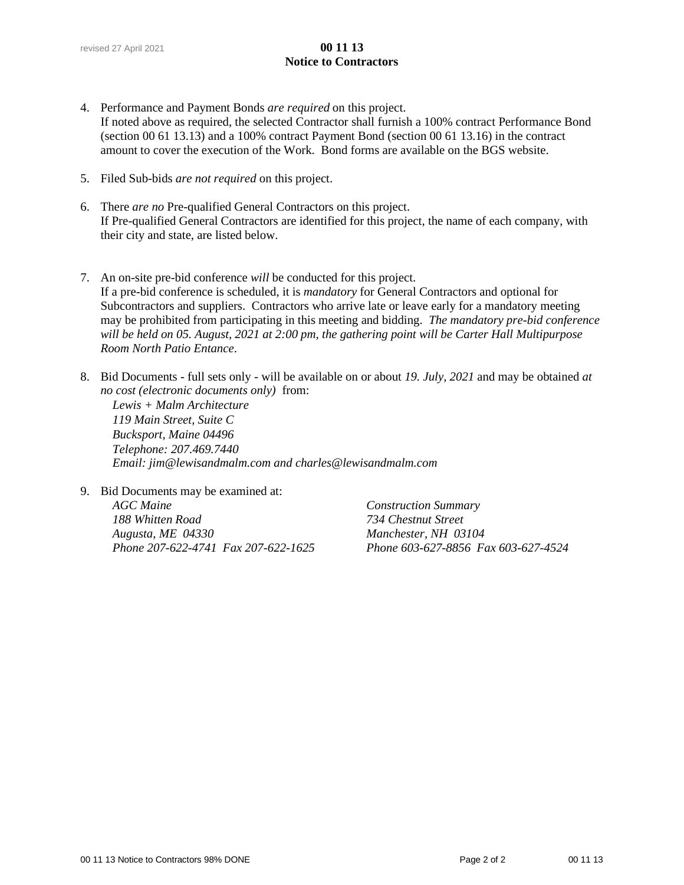### revised 27 April 2021 **00 11 13 Notice to Contractors**

- 4. Performance and Payment Bonds *are required* on this project. If noted above as required, the selected Contractor shall furnish a 100% contract Performance Bond (section 00 61 13.13) and a 100% contract Payment Bond (section 00 61 13.16) in the contract amount to cover the execution of the Work. Bond forms are available on the BGS website.
- 5. Filed Sub-bids *are not required* on this project.
- 6. There *are no* Pre-qualified General Contractors on this project. If Pre-qualified General Contractors are identified for this project, the name of each company, with their city and state, are listed below.
- 7. An on-site pre-bid conference *will* be conducted for this project. If a pre-bid conference is scheduled, it is *mandatory* for General Contractors and optional for Subcontractors and suppliers. Contractors who arrive late or leave early for a mandatory meeting may be prohibited from participating in this meeting and bidding. *The mandatory pre-bid conference will be held on 05. August, 2021 at 2:00 pm, the gathering point will be Carter Hall Multipurpose Room North Patio Entance*.
- 8. Bid Documents full sets only will be available on or about *19. July, 2021* and may be obtained *at no cost (electronic documents only)* from:

*Lewis + Malm Architecture 119 Main Street, Suite C Bucksport, Maine 04496 Telephone: 207.469.7440 Email: jim@lewisandmalm.com and charles@lewisandmalm.com*

9. Bid Documents may be examined at:

*AGC Maine Construction Summary 188 Whitten Road 734 Chestnut Street Augusta, ME 04330 Manchester, NH 03104 Phone 207-622-4741 Fax 207-622-1625 Phone 603-627-8856 Fax 603-627-4524*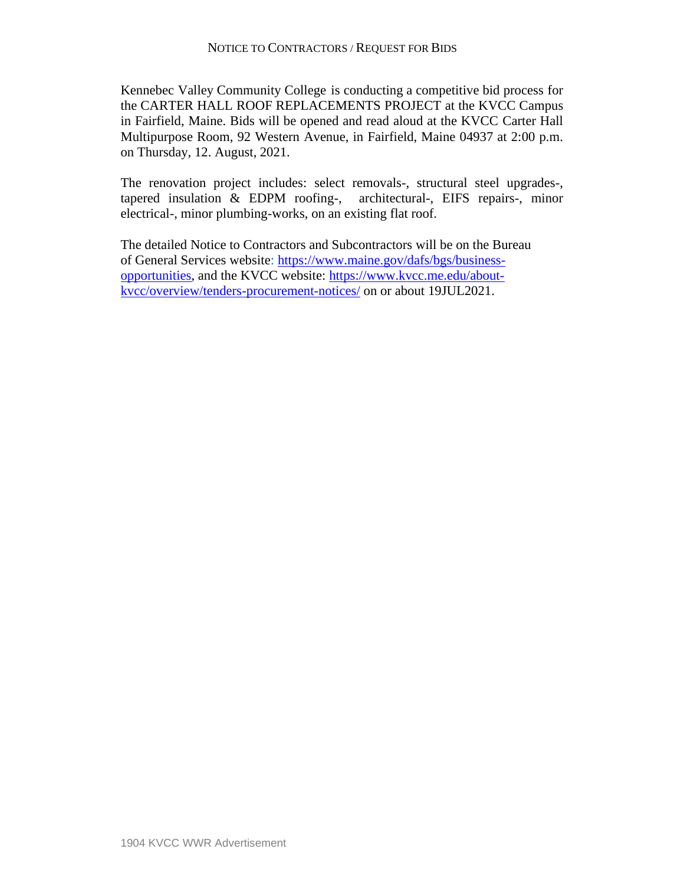Kennebec Valley Community College is conducting a competitive bid process for the CARTER HALL ROOF REPLACEMENTS PROJECT at the KVCC Campus in Fairfield, Maine. Bids will be opened and read aloud at the KVCC Carter Hall Multipurpose Room, 92 Western Avenue, in Fairfield, Maine 04937 at 2:00 p.m. on Thursday, 12. August, 2021.

The renovation project includes: select removals-, structural steel upgrades-, tapered insulation & EDPM roofing-, architectural-, EIFS repairs-, minor electrical-, minor plumbing-works, on an existing flat roof.

The detailed Notice to Contractors and Subcontractors will be on the Bureau of General Services website: [https://www.maine.gov/dafs/bgs/business](https://www.maine.gov/dafs/bgs/business-opportunities)[opportunities,](https://www.maine.gov/dafs/bgs/business-opportunities) and the KVCC website: [https://www.kvcc.me.edu/about](https://www.kvcc.me.edu/about-kvcc/overview/tenders-procurement-notices/)[kvcc/overview/tenders-procurement-notices/](https://www.kvcc.me.edu/about-kvcc/overview/tenders-procurement-notices/) on or about 19JUL2021.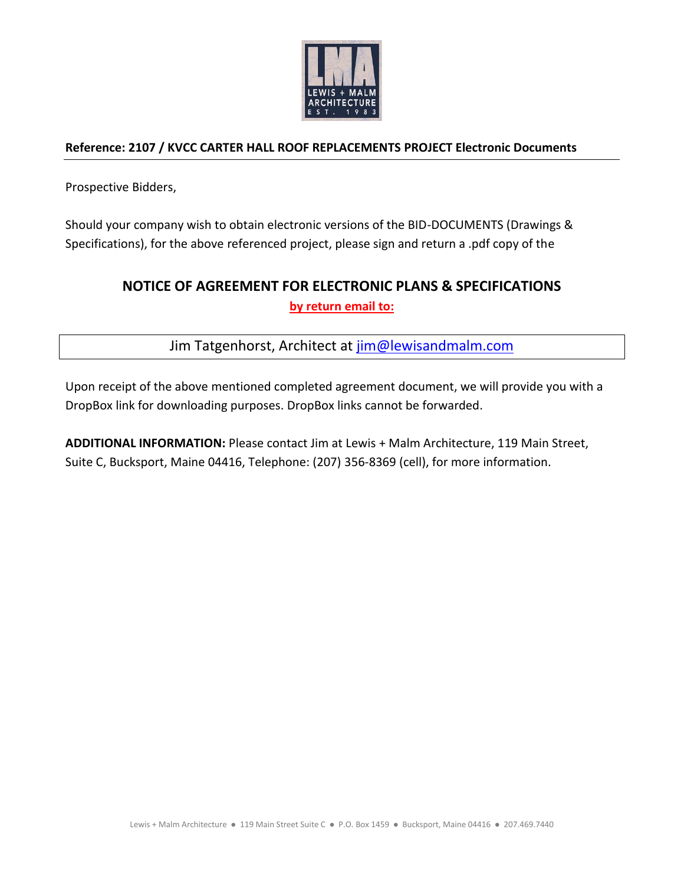

## **Reference: 2107 / KVCC CARTER HALL ROOF REPLACEMENTS PROJECT Electronic Documents**

Prospective Bidders,

Should your company wish to obtain electronic versions of the BID-DOCUMENTS (Drawings & Specifications), for the above referenced project, please sign and return a .pdf copy of the

# **NOTICE OF AGREEMENT FOR ELECTRONIC PLANS & SPECIFICATIONS by return email to:**

Jim Tatgenhorst, Architect at [jim@lewisandmalm.com](mailto:jim@lewisandmalm.com)

Upon receipt of the above mentioned completed agreement document, we will provide you with a DropBox link for downloading purposes. DropBox links cannot be forwarded.

**ADDITIONAL INFORMATION:** Please contact Jim at Lewis + Malm Architecture, 119 Main Street, Suite C, Bucksport, Maine 04416, Telephone: (207) 356-8369 (cell), for more information.